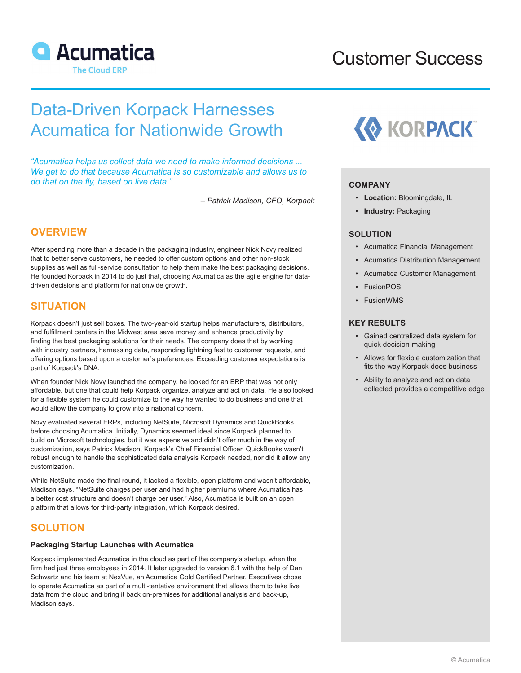

# Customer Success

# Data-Driven Korpack Harnesses Acumatica for Nationwide Growth

*"Acumatica helps us collect data we need to make informed decisions ... We get to do that because Acumatica is so customizable and allows us to do that on the fly, based on live data."*

*– Patrick Madison, CFO, Korpack*

# **OVERVIEW**

After spending more than a decade in the packaging industry, engineer Nick Novy realized that to better serve customers, he needed to offer custom options and other non-stock supplies as well as full-service consultation to help them make the best packaging decisions. He founded Korpack in 2014 to do just that, choosing Acumatica as the agile engine for datadriven decisions and platform for nationwide growth.

## **SITUATION**

Korpack doesn't just sell boxes. The two-year-old startup helps manufacturers, distributors, and fulfillment centers in the Midwest area save money and enhance productivity by finding the best packaging solutions for their needs. The company does that by working with industry partners, harnessing data, responding lightning fast to customer requests, and offering options based upon a customer's preferences. Exceeding customer expectations is part of Korpack's DNA.

When founder Nick Novy launched the company, he looked for an ERP that was not only affordable, but one that could help Korpack organize, analyze and act on data. He also looked for a flexible system he could customize to the way he wanted to do business and one that would allow the company to grow into a national concern.

Novy evaluated several ERPs, including NetSuite, Microsoft Dynamics and QuickBooks before choosing Acumatica. Initially, Dynamics seemed ideal since Korpack planned to build on Microsoft technologies, but it was expensive and didn't offer much in the way of customization, says Patrick Madison, Korpack's Chief Financial Officer. QuickBooks wasn't robust enough to handle the sophisticated data analysis Korpack needed, nor did it allow any customization.

While NetSuite made the final round, it lacked a flexible, open platform and wasn't affordable, Madison says. "NetSuite charges per user and had higher premiums where Acumatica has a better cost structure and doesn't charge per user." Also, Acumatica is built on an open platform that allows for third-party integration, which Korpack desired.

# **SOLUTION**

## **Packaging Startup Launches with Acumatica**

Korpack implemented Acumatica in the cloud as part of the company's startup, when the firm had just three employees in 2014. It later upgraded to version 6.1 with the help of Dan Schwartz and his team at NexVue, an Acumatica Gold Certified Partner. Executives chose to operate Acumatica as part of a multi-tentative environment that allows them to take live data from the cloud and bring it back on-premises for additional analysis and back-up, Madison says.



#### **COMPANY**

- **Location:** Bloomingdale, IL
- **Industry:** Packaging

## **SOLUTION**

- Acumatica Financial Management
- Acumatica Distribution Management
- Acumatica Customer Management
- **FusionPOS**
- FusionWMS

## **KEY RESULTS**

- Gained centralized data system for quick decision-making
- Allows for flexible customization that fits the way Korpack does business
- Ability to analyze and act on data collected provides a competitive edge